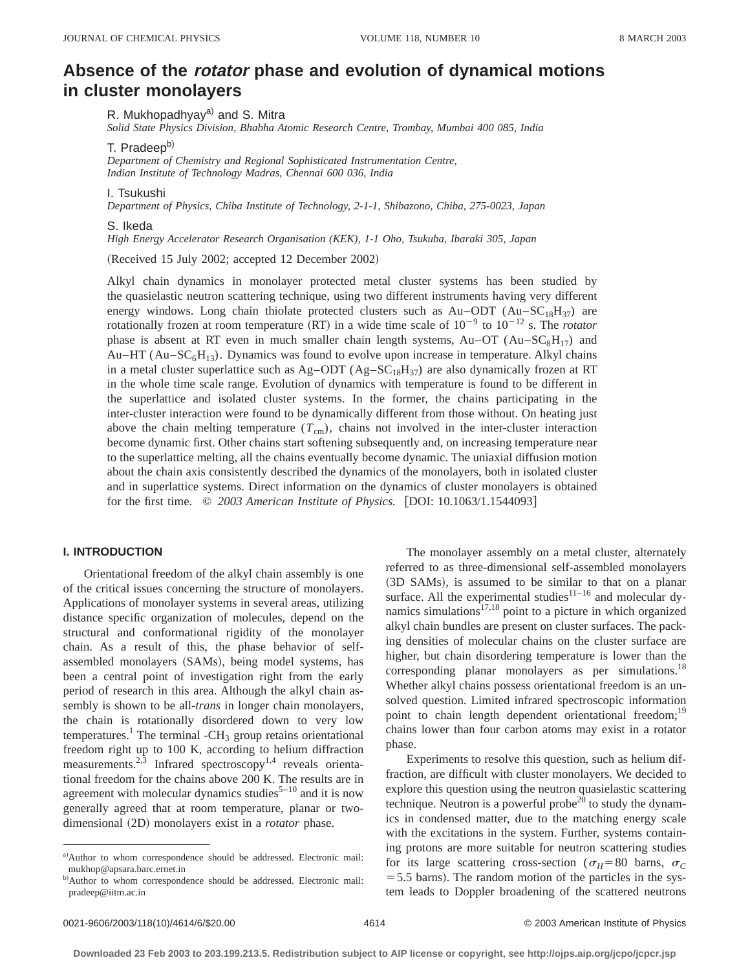# **Absence of the rotator phase and evolution of dynamical motions in cluster monolayers**

R. Mukhopadhyay<sup>a)</sup> and S. Mitra

*Solid State Physics Division, Bhabha Atomic Research Centre, Trombay, Mumbai 400 085, India*

T. Pradeep<sup>b)</sup>

*Department of Chemistry and Regional Sophisticated Instrumentation Centre, Indian Institute of Technology Madras, Chennai 600 036, India*

I. Tsukushi

*Department of Physics, Chiba Institute of Technology, 2-1-1, Shibazono, Chiba, 275-0023, Japan*

#### S. Ikeda

*High Energy Accelerator Research Organisation (KEK), 1-1 Oho, Tsukuba, Ibaraki 305, Japan*

(Received 15 July 2002; accepted 12 December 2002)

Alkyl chain dynamics in monolayer protected metal cluster systems has been studied by the quasielastic neutron scattering technique, using two different instruments having very different energy windows. Long chain thiolate protected clusters such as  $Au$ -ODT ( $Au$ -SC<sub>18</sub>H<sub>37</sub>) are rotationally frozen at room temperature (RT) in a wide time scale of  $10^{-9}$  to  $10^{-12}$  s. The *rotator* phase is absent at RT even in much smaller chain length systems,  $Au$ -OT ( $Au$ -SC<sub>8</sub>H<sub>17</sub>) and Au–HT ( $Au-SC<sub>6</sub>H<sub>13</sub>$ ). Dynamics was found to evolve upon increase in temperature. Alkyl chains in a metal cluster superlattice such as  $Ag-ODT(Ag-SC_{18}H_{37})$  are also dynamically frozen at RT in the whole time scale range. Evolution of dynamics with temperature is found to be different in the superlattice and isolated cluster systems. In the former, the chains participating in the inter-cluster interaction were found to be dynamically different from those without. On heating just above the chain melting temperature  $(T_{cm})$ , chains not involved in the inter-cluster interaction become dynamic first. Other chains start softening subsequently and, on increasing temperature near to the superlattice melting, all the chains eventually become dynamic. The uniaxial diffusion motion about the chain axis consistently described the dynamics of the monolayers, both in isolated cluster and in superlattice systems. Direct information on the dynamics of cluster monolayers is obtained for the first time.  $\degree$  2003 American Institute of Physics. [DOI: 10.1063/1.1544093]

## **I. INTRODUCTION**

Orientational freedom of the alkyl chain assembly is one of the critical issues concerning the structure of monolayers. Applications of monolayer systems in several areas, utilizing distance specific organization of molecules, depend on the structural and conformational rigidity of the monolayer chain. As a result of this, the phase behavior of selfassembled monolayers (SAMs), being model systems, has been a central point of investigation right from the early period of research in this area. Although the alkyl chain assembly is shown to be all-*trans* in longer chain monolayers, the chain is rotationally disordered down to very low temperatures.<sup>1</sup> The terminal -CH<sub>3</sub> group retains orientational freedom right up to 100 K, according to helium diffraction measurements.<sup>2,3</sup> Infrared spectroscopy<sup>1,4</sup> reveals orientational freedom for the chains above 200 K. The results are in agreement with molecular dynamics studies $5-10$  and it is now generally agreed that at room temperature, planar or twodimensional (2D) monolayers exist in a *rotator* phase.

The monolayer assembly on a metal cluster, alternately referred to as three-dimensional self-assembled monolayers (3D SAMs), is assumed to be similar to that on a planar surface. All the experimental studies $11-16$  and molecular dynamics simulations $17,18$  point to a picture in which organized alkyl chain bundles are present on cluster surfaces. The packing densities of molecular chains on the cluster surface are higher, but chain disordering temperature is lower than the corresponding planar monolayers as per simulations.<sup>18</sup> Whether alkyl chains possess orientational freedom is an unsolved question. Limited infrared spectroscopic information point to chain length dependent orientational freedom;<sup>19</sup> chains lower than four carbon atoms may exist in a rotator phase.

Experiments to resolve this question, such as helium diffraction, are difficult with cluster monolayers. We decided to explore this question using the neutron quasielastic scattering technique. Neutron is a powerful probe<sup>20</sup> to study the dynamics in condensed matter, due to the matching energy scale with the excitations in the system. Further, systems containing protons are more suitable for neutron scattering studies for its large scattering cross-section ( $\sigma_H$ =80 barns,  $\sigma_C$  $=$  5.5 barns). The random motion of the particles in the system leads to Doppler broadening of the scattered neutrons

a)Author to whom correspondence should be addressed. Electronic mail: mukhop@apsara.barc.ernet.in

b)Author to whom correspondence should be addressed. Electronic mail: pradeep@iitm.ac.in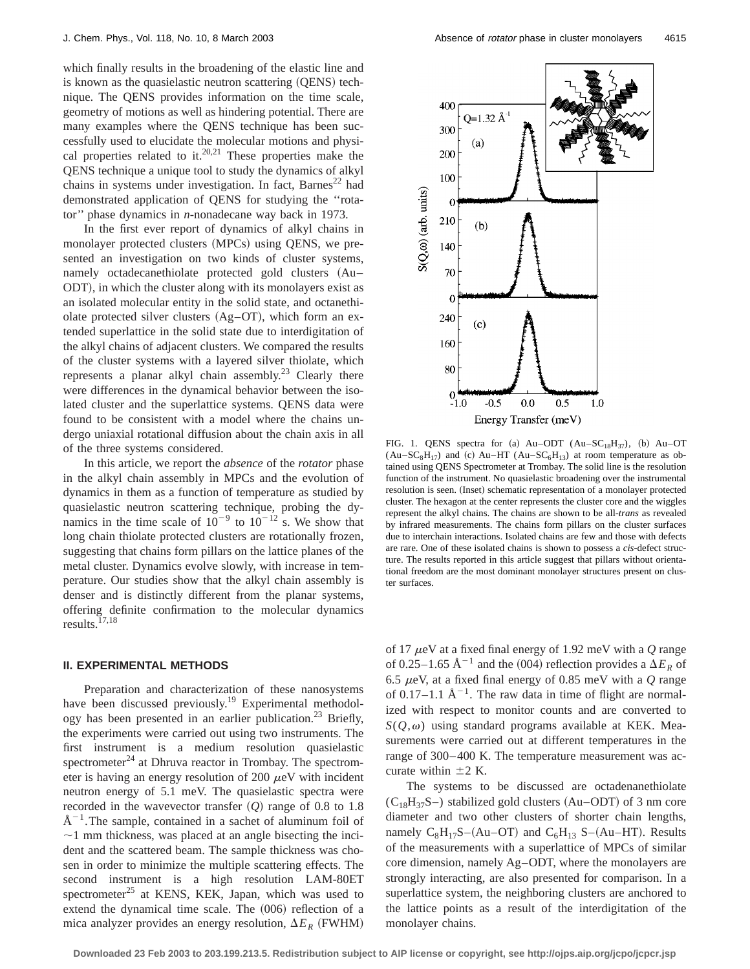which finally results in the broadening of the elastic line and is known as the quasielastic neutron scattering (OENS) technique. The QENS provides information on the time scale, geometry of motions as well as hindering potential. There are many examples where the QENS technique has been successfully used to elucidate the molecular motions and physical properties related to it.<sup>20,21</sup> These properties make the QENS technique a unique tool to study the dynamics of alkyl chains in systems under investigation. In fact, Barnes<sup>22</sup> had demonstrated application of QENS for studying the ''rotator'' phase dynamics in *n*-nonadecane way back in 1973.

In the first ever report of dynamics of alkyl chains in monolayer protected clusters (MPCs) using QENS, we presented an investigation on two kinds of cluster systems, namely octadecanethiolate protected gold clusters (Au– ODT), in which the cluster along with its monolayers exist as an isolated molecular entity in the solid state, and octanethiolate protected silver clusters  $(Ag-T)$ , which form an extended superlattice in the solid state due to interdigitation of the alkyl chains of adjacent clusters. We compared the results of the cluster systems with a layered silver thiolate, which represents a planar alkyl chain assembly.<sup>23</sup> Clearly there were differences in the dynamical behavior between the isolated cluster and the superlattice systems. QENS data were found to be consistent with a model where the chains undergo uniaxial rotational diffusion about the chain axis in all of the three systems considered.

In this article, we report the *absence* of the *rotator* phase in the alkyl chain assembly in MPCs and the evolution of dynamics in them as a function of temperature as studied by quasielastic neutron scattering technique, probing the dynamics in the time scale of  $10^{-9}$  to  $10^{-12}$  s. We show that long chain thiolate protected clusters are rotationally frozen, suggesting that chains form pillars on the lattice planes of the metal cluster. Dynamics evolve slowly, with increase in temperature. Our studies show that the alkyl chain assembly is denser and is distinctly different from the planar systems, offering definite confirmation to the molecular dynamics results.17,18

#### **II. EXPERIMENTAL METHODS**

Preparation and characterization of these nanosystems have been discussed previously.<sup>19</sup> Experimental methodology has been presented in an earlier publication.<sup>23</sup> Briefly, the experiments were carried out using two instruments. The first instrument is a medium resolution quasielastic spectrometer<sup>24</sup> at Dhruva reactor in Trombay. The spectrometer is having an energy resolution of 200  $\mu$ eV with incident neutron energy of 5.1 meV. The quasielastic spectra were recorded in the wavevector transfer  $(Q)$  range of 0.8 to 1.8  $A^{-1}$ . The sample, contained in a sachet of aluminum foil of  $\sim$ 1 mm thickness, was placed at an angle bisecting the incident and the scattered beam. The sample thickness was chosen in order to minimize the multiple scattering effects. The second instrument is a high resolution LAM-80ET spectrometer<sup>25</sup> at KENS, KEK, Japan, which was used to extend the dynamical time scale. The (006) reflection of a mica analyzer provides an energy resolution,  $\Delta E_R$  (FWHM)



FIG. 1. QENS spectra for (a) Au–ODT  $(Au-SC_{18}H_{37})$ , (b) Au–OT  $(Au-SC_8H_{17})$  and (c) Au–HT  $(Au-SC_6H_{13})$  at room temperature as obtained using QENS Spectrometer at Trombay. The solid line is the resolution function of the instrument. No quasielastic broadening over the instrumental resolution is seen. (Inset) schematic representation of a monolayer protected cluster. The hexagon at the center represents the cluster core and the wiggles represent the alkyl chains. The chains are shown to be all-*trans* as revealed by infrared measurements. The chains form pillars on the cluster surfaces due to interchain interactions. Isolated chains are few and those with defects are rare. One of these isolated chains is shown to possess a *cis*-defect structure. The results reported in this article suggest that pillars without orientational freedom are the most dominant monolayer structures present on cluster surfaces.

of 17 <sup>m</sup>eV at a fixed final energy of 1.92 meV with a *Q* range of 0.25–1.65  $\text{\AA}^{-1}$  and the (004) reflection provides a  $\Delta E_R$  of 6.5 <sup>m</sup>eV, at a fixed final energy of 0.85 meV with a *Q* range of 0.17–1.1  $\mathring{A}^{-1}$ . The raw data in time of flight are normalized with respect to monitor counts and are converted to  $S(Q,\omega)$  using standard programs available at KEK. Measurements were carried out at different temperatures in the range of 300–400 K. The temperature measurement was accurate within  $\pm 2$  K.

The systems to be discussed are octadenanethiolate  $(C_{18}H_{37}S-)$  stabilized gold clusters  $(Au-ODT)$  of 3 nm core diameter and two other clusters of shorter chain lengths, namely  $C_8H_{17}S-(Au-OT)$  and  $C_6H_{13}S-(Au-HT)$ . Results of the measurements with a superlattice of MPCs of similar core dimension, namely Ag–ODT, where the monolayers are strongly interacting, are also presented for comparison. In a superlattice system, the neighboring clusters are anchored to the lattice points as a result of the interdigitation of the monolayer chains.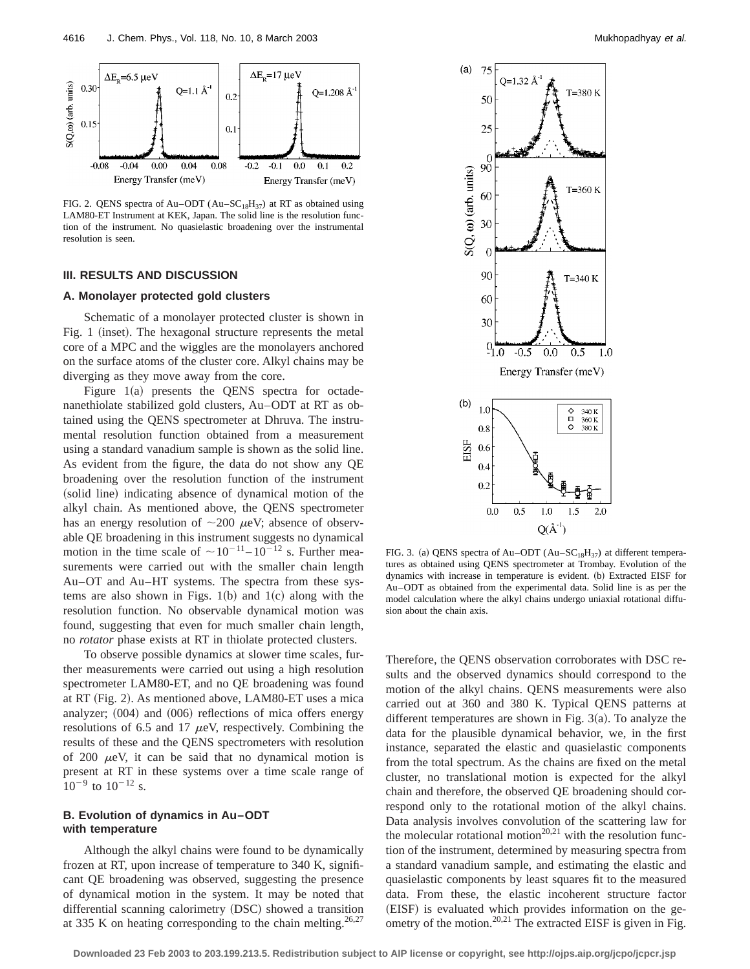

FIG. 2. QENS spectra of Au–ODT (Au– $SC_{18}H_{37}$ ) at RT as obtained using LAM80-ET Instrument at KEK, Japan. The solid line is the resolution function of the instrument. No quasielastic broadening over the instrumental resolution is seen.

# **III. RESULTS AND DISCUSSION**

### **A. Monolayer protected gold clusters**

Schematic of a monolayer protected cluster is shown in Fig. 1 (inset). The hexagonal structure represents the metal core of a MPC and the wiggles are the monolayers anchored on the surface atoms of the cluster core. Alkyl chains may be diverging as they move away from the core.

Figure  $1(a)$  presents the QENS spectra for octadenanethiolate stabilized gold clusters, Au–ODT at RT as obtained using the QENS spectrometer at Dhruva. The instrumental resolution function obtained from a measurement using a standard vanadium sample is shown as the solid line. As evident from the figure, the data do not show any QE broadening over the resolution function of the instrument (solid line) indicating absence of dynamical motion of the alkyl chain. As mentioned above, the QENS spectrometer has an energy resolution of  $\sim$ 200  $\mu$ eV; absence of observable QE broadening in this instrument suggests no dynamical motion in the time scale of  $\sim 10^{-11}$ –  $10^{-12}$  s. Further measurements were carried out with the smaller chain length Au–OT and Au–HT systems. The spectra from these systems are also shown in Figs.  $1(b)$  and  $1(c)$  along with the resolution function. No observable dynamical motion was found, suggesting that even for much smaller chain length, no *rotator* phase exists at RT in thiolate protected clusters.

To observe possible dynamics at slower time scales, further measurements were carried out using a high resolution spectrometer LAM80-ET, and no QE broadening was found at RT (Fig. 2). As mentioned above, LAM80-ET uses a mica analyzer;  $(004)$  and  $(006)$  reflections of mica offers energy resolutions of 6.5 and 17  $\mu$ eV, respectively. Combining the results of these and the QENS spectrometers with resolution of 200  $\mu$ eV, it can be said that no dynamical motion is present at RT in these systems over a time scale range of  $10^{-9}$  to  $10^{-12}$  s.

## **B. Evolution of dynamics in Au–ODT with temperature**

Although the alkyl chains were found to be dynamically frozen at RT, upon increase of temperature to 340 K, significant QE broadening was observed, suggesting the presence of dynamical motion in the system. It may be noted that differential scanning calorimetry (DSC) showed a transition at 335 K on heating corresponding to the chain melting.<sup>26,27</sup>



FIG. 3. (a) QENS spectra of Au–ODT (Au–SC<sub>18</sub>H<sub>37</sub>) at different temperatures as obtained using QENS spectrometer at Trombay. Evolution of the dynamics with increase in temperature is evident. (b) Extracted EISF for Au–ODT as obtained from the experimental data. Solid line is as per the model calculation where the alkyl chains undergo uniaxial rotational diffusion about the chain axis.

Therefore, the QENS observation corroborates with DSC results and the observed dynamics should correspond to the motion of the alkyl chains. QENS measurements were also carried out at 360 and 380 K. Typical QENS patterns at different temperatures are shown in Fig.  $3(a)$ . To analyze the data for the plausible dynamical behavior, we, in the first instance, separated the elastic and quasielastic components from the total spectrum. As the chains are fixed on the metal cluster, no translational motion is expected for the alkyl chain and therefore, the observed QE broadening should correspond only to the rotational motion of the alkyl chains. Data analysis involves convolution of the scattering law for the molecular rotational motion<sup>20,21</sup> with the resolution function of the instrument, determined by measuring spectra from a standard vanadium sample, and estimating the elastic and quasielastic components by least squares fit to the measured data. From these, the elastic incoherent structure factor (EISF) is evaluated which provides information on the geometry of the motion.<sup>20,21</sup> The extracted EISF is given in Fig.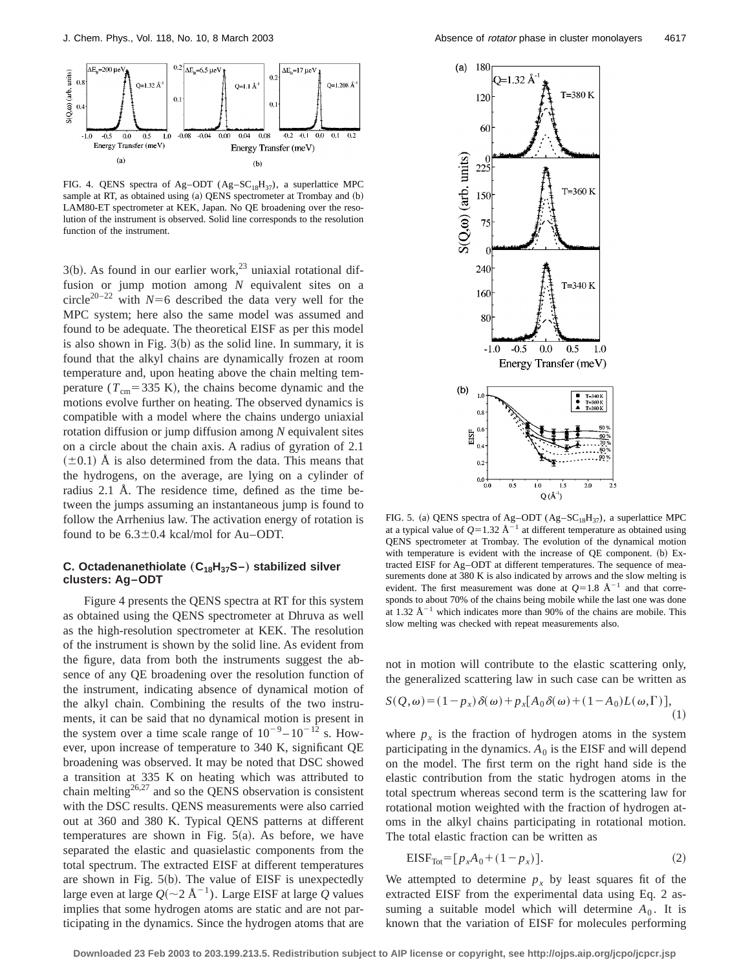

FIG. 4. QENS spectra of Ag-ODT (Ag-SC<sub>18</sub>H<sub>37</sub>), a superlattice MPC sample at RT, as obtained using (a) QENS spectrometer at Trombay and (b) LAM80-ET spectrometer at KEK, Japan. No QE broadening over the resolution of the instrument is observed. Solid line corresponds to the resolution function of the instrument.

 $3(b)$ . As found in our earlier work,<sup>23</sup> uniaxial rotational diffusion or jump motion among *N* equivalent sites on a circle<sup>20–22</sup> with  $N=6$  described the data very well for the MPC system; here also the same model was assumed and found to be adequate. The theoretical EISF as per this model is also shown in Fig.  $3(b)$  as the solid line. In summary, it is found that the alkyl chains are dynamically frozen at room temperature and, upon heating above the chain melting temperature  $(T_{cm} = 335 \text{ K})$ , the chains become dynamic and the motions evolve further on heating. The observed dynamics is compatible with a model where the chains undergo uniaxial rotation diffusion or jump diffusion among *N* equivalent sites on a circle about the chain axis. A radius of gyration of 2.1  $(\pm 0.1)$  A is also determined from the data. This means that the hydrogens, on the average, are lying on a cylinder of radius 2.1 Å. The residence time, defined as the time between the jumps assuming an instantaneous jump is found to follow the Arrhenius law. The activation energy of rotation is found to be  $6.3\pm0.4$  kcal/mol for Au–ODT.

# **C. Octadenanethiolate** ( $C_{18}H_{37}S$ –) stabilized silver **clusters: Ag–ODT**

Figure 4 presents the QENS spectra at RT for this system as obtained using the QENS spectrometer at Dhruva as well as the high-resolution spectrometer at KEK. The resolution of the instrument is shown by the solid line. As evident from the figure, data from both the instruments suggest the absence of any QE broadening over the resolution function of the instrument, indicating absence of dynamical motion of the alkyl chain. Combining the results of the two instruments, it can be said that no dynamical motion is present in the system over a time scale range of  $10^{-9} - 10^{-12}$  s. However, upon increase of temperature to 340 K, significant QE broadening was observed. It may be noted that DSC showed a transition at 335 K on heating which was attributed to chain melting<sup>26,27</sup> and so the QENS observation is consistent with the DSC results. QENS measurements were also carried out at 360 and 380 K. Typical QENS patterns at different temperatures are shown in Fig.  $5(a)$ . As before, we have separated the elastic and quasielastic components from the total spectrum. The extracted EISF at different temperatures are shown in Fig.  $5(b)$ . The value of EISF is unexpectedly large even at large  $Q(\sim 2 \text{ Å}^{-1})$ . Large EISF at large Q values implies that some hydrogen atoms are static and are not participating in the dynamics. Since the hydrogen atoms that are



FIG. 5. (a) QENS spectra of Ag–ODT (Ag–SC<sub>18</sub>H<sub>37</sub>), a superlattice MPC at a typical value of  $Q=1.32 \text{ Å}^{-1}$  at different temperature as obtained using QENS spectrometer at Trombay. The evolution of the dynamical motion with temperature is evident with the increase of  $QE$  component.  $(b)$  Extracted EISF for Ag–ODT at different temperatures. The sequence of measurements done at 380 K is also indicated by arrows and the slow melting is evident. The first measurement was done at  $Q=1.8$  Å<sup>-1</sup> and that corresponds to about 70% of the chains being mobile while the last one was done at 1.32  $\AA^{-1}$  which indicates more than 90% of the chains are mobile. This slow melting was checked with repeat measurements also.

not in motion will contribute to the elastic scattering only, the generalized scattering law in such case can be written as

$$
S(Q,\omega) = (1 - p_x) \delta(\omega) + p_x [A_0 \delta(\omega) + (1 - A_0)L(\omega, \Gamma)],
$$
\n(1)

where  $p_x$  is the fraction of hydrogen atoms in the system participating in the dynamics.  $A_0$  is the EISF and will depend on the model. The first term on the right hand side is the elastic contribution from the static hydrogen atoms in the total spectrum whereas second term is the scattering law for rotational motion weighted with the fraction of hydrogen atoms in the alkyl chains participating in rotational motion. The total elastic fraction can be written as

$$
EISF_{Tot} = [p_x A_0 + (1 - p_x)].
$$
\n(2)

We attempted to determine  $p_x$  by least squares fit of the extracted EISF from the experimental data using Eq. 2 assuming a suitable model which will determine  $A_0$ . It is known that the variation of EISF for molecules performing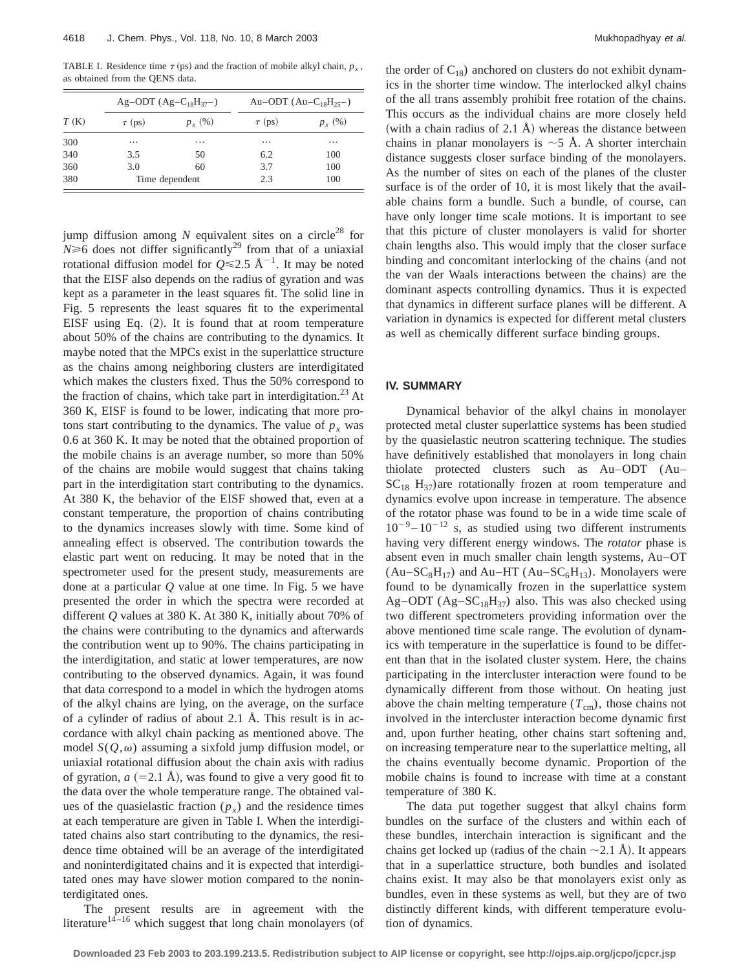TABLE I. Residence time  $\tau$  (ps) and the fraction of mobile alkyl chain,  $p_x$ , as obtained from the QENS data.

| T(K) | Ag-ODT $(Ag-C_{18}H_{37})$ |          | Au-ODT $(Au-C_{18}H_{25})$ |           |
|------|----------------------------|----------|----------------------------|-----------|
|      | $\tau$ (ps)                | $p_r(%)$ | $\tau$ (ps)                | $p_{x}(%$ |
| 300  | .                          |          | $\cdots$                   | $\cdots$  |
| 340  | 3.5                        | 50       | 6.2                        | 100       |
| 360  | 3.0                        | 60       | 3.7                        | 100       |
| 380  | Time dependent             |          | 2.3                        | 100       |

jump diffusion among  $N$  equivalent sites on a circle<sup>28</sup> for  $N \ge 6$  does not differ significantly<sup>29</sup> from that of a uniaxial rotational diffusion model for  $O \le 2.5$  Å<sup>-1</sup>. It may be noted that the EISF also depends on the radius of gyration and was kept as a parameter in the least squares fit. The solid line in Fig. 5 represents the least squares fit to the experimental EISF using Eq.  $(2)$ . It is found that at room temperature about 50% of the chains are contributing to the dynamics. It maybe noted that the MPCs exist in the superlattice structure as the chains among neighboring clusters are interdigitated which makes the clusters fixed. Thus the 50% correspond to the fraction of chains, which take part in interdigitation.<sup>23</sup> At 360 K, EISF is found to be lower, indicating that more protons start contributing to the dynamics. The value of  $p<sub>x</sub>$  was 0.6 at 360 K. It may be noted that the obtained proportion of the mobile chains is an average number, so more than 50% of the chains are mobile would suggest that chains taking part in the interdigitation start contributing to the dynamics. At 380 K, the behavior of the EISF showed that, even at a constant temperature, the proportion of chains contributing to the dynamics increases slowly with time. Some kind of annealing effect is observed. The contribution towards the elastic part went on reducing. It may be noted that in the spectrometer used for the present study, measurements are done at a particular *Q* value at one time. In Fig. 5 we have presented the order in which the spectra were recorded at different *Q* values at 380 K. At 380 K, initially about 70% of the chains were contributing to the dynamics and afterwards the contribution went up to 90%. The chains participating in the interdigitation, and static at lower temperatures, are now contributing to the observed dynamics. Again, it was found that data correspond to a model in which the hydrogen atoms of the alkyl chains are lying, on the average, on the surface of a cylinder of radius of about 2.1 Å. This result is in accordance with alkyl chain packing as mentioned above. The model  $S(Q,\omega)$  assuming a sixfold jump diffusion model, or uniaxial rotational diffusion about the chain axis with radius of gyration,  $a$   $(=2.1 \text{ Å})$ , was found to give a very good fit to the data over the whole temperature range. The obtained values of the quasielastic fraction  $(p_x)$  and the residence times at each temperature are given in Table I. When the interdigitated chains also start contributing to the dynamics, the residence time obtained will be an average of the interdigitated and noninterdigitated chains and it is expected that interdigitated ones may have slower motion compared to the noninterdigitated ones.

The present results are in agreement with the literature<sup>14–16</sup> which suggest that long chain monolayers (of the order of  $C_{18}$ ) anchored on clusters do not exhibit dynamics in the shorter time window. The interlocked alkyl chains of the all trans assembly prohibit free rotation of the chains. This occurs as the individual chains are more closely held (with a chain radius of 2.1 Å) whereas the distance between chains in planar monolayers is  $\sim$  5 Å. A shorter interchain distance suggests closer surface binding of the monolayers. As the number of sites on each of the planes of the cluster surface is of the order of 10, it is most likely that the available chains form a bundle. Such a bundle, of course, can have only longer time scale motions. It is important to see that this picture of cluster monolayers is valid for shorter chain lengths also. This would imply that the closer surface binding and concomitant interlocking of the chains (and not the van der Waals interactions between the chains) are the dominant aspects controlling dynamics. Thus it is expected that dynamics in different surface planes will be different. A variation in dynamics is expected for different metal clusters as well as chemically different surface binding groups.

## **IV. SUMMARY**

Dynamical behavior of the alkyl chains in monolayer protected metal cluster superlattice systems has been studied by the quasielastic neutron scattering technique. The studies have definitively established that monolayers in long chain thiolate protected clusters such as Au–ODT (Au–  $SC<sub>18</sub> H<sub>37</sub>$ ) are rotationally frozen at room temperature and dynamics evolve upon increase in temperature. The absence of the rotator phase was found to be in a wide time scale of  $10^{-9} - 10^{-12}$  s, as studied using two different instruments having very different energy windows. The *rotator* phase is absent even in much smaller chain length systems, Au–OT  $(Au-SC_8H_{17})$  and Au–HT (Au–SC<sub>6</sub>H<sub>13</sub>). Monolayers were found to be dynamically frozen in the superlattice system Ag–ODT (Ag– $SC_{18}H_{37}$ ) also. This was also checked using two different spectrometers providing information over the above mentioned time scale range. The evolution of dynamics with temperature in the superlattice is found to be different than that in the isolated cluster system. Here, the chains participating in the intercluster interaction were found to be dynamically different from those without. On heating just above the chain melting temperature  $(T_{cm})$ , those chains not involved in the intercluster interaction become dynamic first and, upon further heating, other chains start softening and, on increasing temperature near to the superlattice melting, all the chains eventually become dynamic. Proportion of the mobile chains is found to increase with time at a constant temperature of 380 K.

The data put together suggest that alkyl chains form bundles on the surface of the clusters and within each of these bundles, interchain interaction is significant and the chains get locked up (radius of the chain  $\sim$  2.1 Å). It appears that in a superlattice structure, both bundles and isolated chains exist. It may also be that monolayers exist only as bundles, even in these systems as well, but they are of two distinctly different kinds, with different temperature evolution of dynamics.